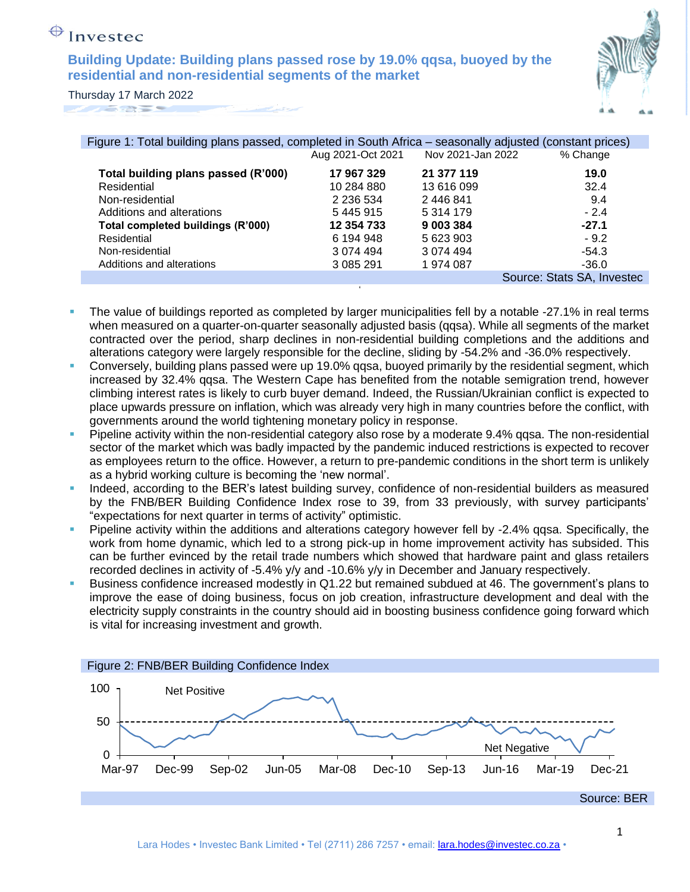## $\bigoplus$  Investec

**Building Update: Building plans passed rose by 19.0% qqsa, buoyed by the residential and non-residential segments of the market**



Thursday 17 March 2022

| Figure 1: Total building plans passed, completed in South Africa – seasonally adjusted (constant prices) |                   |                   |                            |
|----------------------------------------------------------------------------------------------------------|-------------------|-------------------|----------------------------|
|                                                                                                          | Aug 2021-Oct 2021 | Nov 2021-Jan 2022 | % Change                   |
| Total building plans passed (R'000)                                                                      | 17 967 329        | 21 377 119        | 19.0                       |
| Residential                                                                                              | 10 284 880        | 13 616 099        | 32.4                       |
| Non-residential                                                                                          | 2 2 3 6 5 3 4     | 2 446 841         | 9.4                        |
| Additions and alterations                                                                                | 5445915           | 5 314 179         | $-2.4$                     |
| Total completed buildings (R'000)                                                                        | 12 354 733        | 9 003 384         | $-27.1$                    |
| Residential                                                                                              | 6 194 948         | 5 623 903         | $-9.2$                     |
| Non-residential                                                                                          | 3 0 74 4 94       | 3 0 74 4 94       | $-54.3$                    |
| Additions and alterations                                                                                | 3 0 8 5 2 9 1     | 1974 087          | $-36.0$                    |
|                                                                                                          |                   |                   | Source: Stats SA, Investec |

The value of buildings reported as completed by larger municipalities fell by a notable -27.1% in real terms when measured on a quarter-on-quarter seasonally adjusted basis (qqsa). While all segments of the market contracted over the period, sharp declines in non-residential building completions and the additions and alterations category were largely responsible for the decline, sliding by -54.2% and -36.0% respectively.

'

- Conversely, building plans passed were up 19.0% qqsa, buoyed primarily by the residential segment, which increased by 32.4% qqsa. The Western Cape has benefited from the notable semigration trend, however climbing interest rates is likely to curb buyer demand. Indeed, the Russian/Ukrainian conflict is expected to place upwards pressure on inflation, which was already very high in many countries before the conflict, with governments around the world tightening monetary policy in response.
- Pipeline activity within the non-residential category also rose by a moderate 9.4% qqsa. The non-residential sector of the market which was badly impacted by the pandemic induced restrictions is expected to recover as employees return to the office. However, a return to pre-pandemic conditions in the short term is unlikely as a hybrid working culture is becoming the 'new normal'.
- Indeed, according to the BER's latest building survey, confidence of non-residential builders as measured by the FNB/BER Building Confidence Index rose to 39, from 33 previously, with survey participants' "expectations for next quarter in terms of activity" optimistic.
- Pipeline activity within the additions and alterations category however fell by -2.4% qqsa. Specifically, the work from home dynamic, which led to a strong pick-up in home improvement activity has subsided. This can be further evinced by the retail trade numbers which showed that hardware paint and glass retailers recorded declines in activity of -5.4% y/y and -10.6% y/y in December and January respectively.
- Business confidence increased modestly in Q1.22 but remained subdued at 46. The government's plans to improve the ease of doing business, focus on job creation, infrastructure development and deal with the electricity supply constraints in the country should aid in boosting business confidence going forward which is vital for increasing investment and growth.

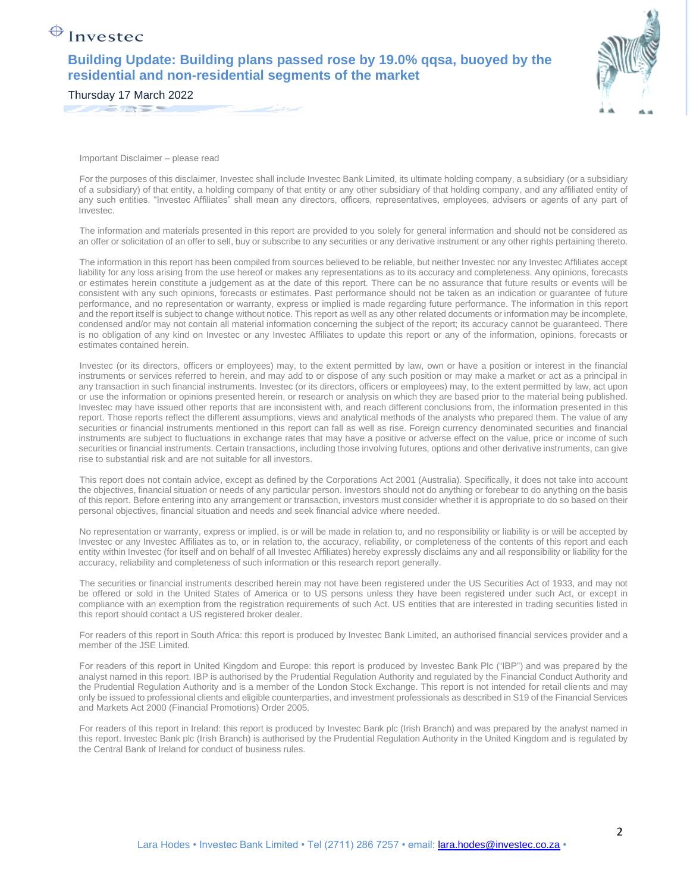## $\bigoplus$  Investec

**Building Update: Building plans passed rose by 19.0% qqsa, buoyed by the residential and non-residential segments of the market**

Thursday 17 March 2022

Important Disclaimer – please read



For the purposes of this disclaimer, Investec shall include Investec Bank Limited, its ultimate holding company, a subsidiary (or a subsidiary of a subsidiary) of that entity, a holding company of that entity or any other subsidiary of that holding company, and any affiliated entity of any such entities. "Investec Affiliates" shall mean any directors, officers, representatives, employees, advisers or agents of any part of Investec.

The information and materials presented in this report are provided to you solely for general information and should not be considered as an offer or solicitation of an offer to sell, buy or subscribe to any securities or any derivative instrument or any other rights pertaining thereto.

The information in this report has been compiled from sources believed to be reliable, but neither Investec nor any Investec Affiliates accept liability for any loss arising from the use hereof or makes any representations as to its accuracy and completeness. Any opinions, forecasts or estimates herein constitute a judgement as at the date of this report. There can be no assurance that future results or events will be consistent with any such opinions, forecasts or estimates. Past performance should not be taken as an indication or guarantee of future performance, and no representation or warranty, express or implied is made regarding future performance. The information in this report and the report itself is subject to change without notice. This report as well as any other related documents or information may be incomplete, condensed and/or may not contain all material information concerning the subject of the report; its accuracy cannot be guaranteed. There is no obligation of any kind on Investec or any Investec Affiliates to update this report or any of the information, opinions, forecasts or estimates contained herein.

Investec (or its directors, officers or employees) may, to the extent permitted by law, own or have a position or interest in the financial instruments or services referred to herein, and may add to or dispose of any such position or may make a market or act as a principal in any transaction in such financial instruments. Investec (or its directors, officers or employees) may, to the extent permitted by law, act upon or use the information or opinions presented herein, or research or analysis on which they are based prior to the material being published. Investec may have issued other reports that are inconsistent with, and reach different conclusions from, the information presented in this report. Those reports reflect the different assumptions, views and analytical methods of the analysts who prepared them. The value of any securities or financial instruments mentioned in this report can fall as well as rise. Foreign currency denominated securities and financial instruments are subject to fluctuations in exchange rates that may have a positive or adverse effect on the value, price or income of such securities or financial instruments. Certain transactions, including those involving futures, options and other derivative instruments, can give rise to substantial risk and are not suitable for all investors.

This report does not contain advice, except as defined by the Corporations Act 2001 (Australia). Specifically, it does not take into account the objectives, financial situation or needs of any particular person. Investors should not do anything or forebear to do anything on the basis of this report. Before entering into any arrangement or transaction, investors must consider whether it is appropriate to do so based on their personal objectives, financial situation and needs and seek financial advice where needed.

No representation or warranty, express or implied, is or will be made in relation to, and no responsibility or liability is or will be accepted by Investec or any Investec Affiliates as to, or in relation to, the accuracy, reliability, or completeness of the contents of this report and each entity within Investec (for itself and on behalf of all Investec Affiliates) hereby expressly disclaims any and all responsibility or liability for the accuracy, reliability and completeness of such information or this research report generally.

The securities or financial instruments described herein may not have been registered under the US Securities Act of 1933, and may not be offered or sold in the United States of America or to US persons unless they have been registered under such Act, or except in compliance with an exemption from the registration requirements of such Act. US entities that are interested in trading securities listed in this report should contact a US registered broker dealer.

For readers of this report in South Africa: this report is produced by Investec Bank Limited, an authorised financial services provider and a member of the JSE Limited.

For readers of this report in United Kingdom and Europe: this report is produced by Investec Bank Plc ("IBP") and was prepared by the analyst named in this report. IBP is authorised by the Prudential Regulation Authority and regulated by the Financial Conduct Authority and the Prudential Regulation Authority and is a member of the London Stock Exchange. This report is not intended for retail clients and may only be issued to professional clients and eligible counterparties, and investment professionals as described in S19 of the Financial Services and Markets Act 2000 (Financial Promotions) Order 2005.

For readers of this report in Ireland: this report is produced by Investec Bank plc (Irish Branch) and was prepared by the analyst named in this report. Investec Bank plc (Irish Branch) is authorised by the Prudential Regulation Authority in the United Kingdom and is regulated by the Central Bank of Ireland for conduct of business rules.